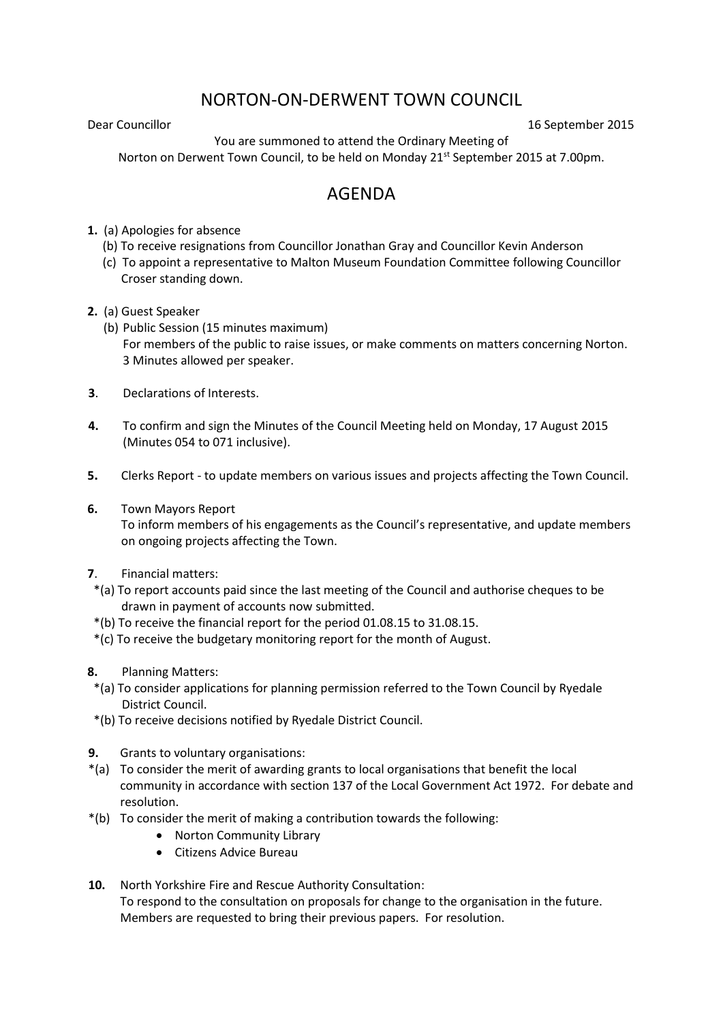## NORTON-ON-DERWENT TOWN COUNCIL

Dear Councillor 16 September 2015

You are summoned to attend the Ordinary Meeting of Norton on Derwent Town Council, to be held on Monday 21<sup>st</sup> September 2015 at 7.00pm.

## AGENDA

- **1.** (a) Apologies for absence
	- (b) To receive resignations from Councillor Jonathan Gray and Councillor Kevin Anderson
	- (c) To appoint a representative to Malton Museum Foundation Committee following Councillor Croser standing down.
- **2.** (a) Guest Speaker
	- (b) Public Session (15 minutes maximum) For members of the public to raise issues, or make comments on matters concerning Norton. 3 Minutes allowed per speaker.
- **3**. Declarations of Interests.
- **4.** To confirm and sign the Minutes of the Council Meeting held on Monday, 17 August 2015 (Minutes 054 to 071 inclusive).
- **5.** Clerks Report to update members on various issues and projects affecting the Town Council.
- **6.** Town Mayors Report

 To inform members of his engagements as the Council's representative, and update members on ongoing projects affecting the Town.

- **7**. Financial matters:
- \*(a) To report accounts paid since the last meeting of the Council and authorise cheques to be drawn in payment of accounts now submitted.
- \*(b) To receive the financial report for the period 01.08.15 to 31.08.15.
- \*(c) To receive the budgetary monitoring report for the month of August.
- **8.** Planning Matters:
- \*(a) To consider applications for planning permission referred to the Town Council by Ryedale District Council.
- \*(b) To receive decisions notified by Ryedale District Council.
- **9.** Grants to voluntary organisations:
- \*(a) To consider the merit of awarding grants to local organisations that benefit the local community in accordance with section 137 of the Local Government Act 1972. For debate and resolution.
- \*(b) To consider the merit of making a contribution towards the following:
	- Norton Community Library
	- Citizens Advice Bureau
- **10.** North Yorkshire Fire and Rescue Authority Consultation:

To respond to the consultation on proposals for change to the organisation in the future. Members are requested to bring their previous papers. For resolution.